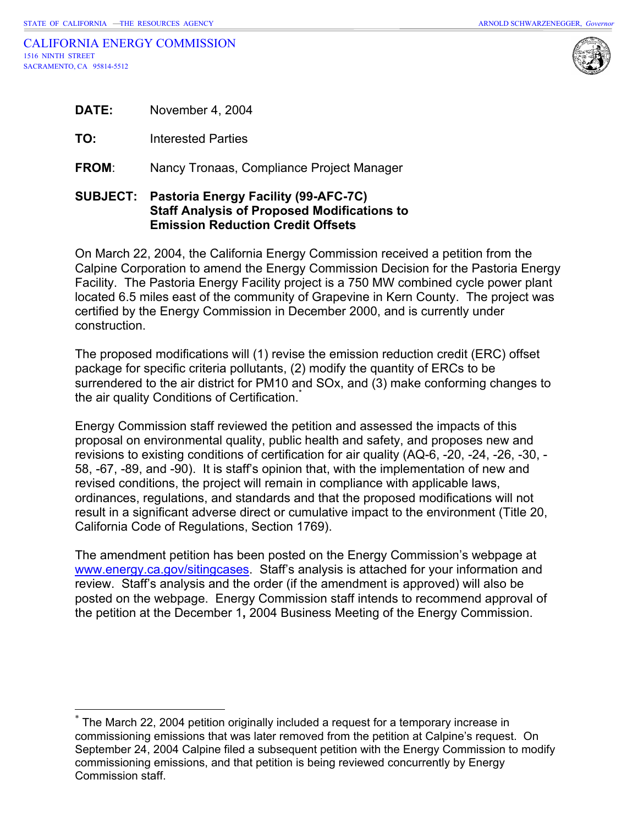$\overline{a}$ 



|              | <b>SUBJECT: Pastoria Energy Facility (99-AFC-7C)</b> |
|--------------|------------------------------------------------------|
| <b>FROM:</b> | Nancy Tronaas, Compliance Project Manager            |
| TO:          | Interested Parties                                   |
| <b>DATE:</b> | November 4, 2004                                     |

# **Staff Analysis of Proposed Modifications to Emission Reduction Credit Offsets**

On March 22, 2004, the California Energy Commission received a petition from the Calpine Corporation to amend the Energy Commission Decision for the Pastoria Energy Facility. The Pastoria Energy Facility project is a 750 MW combined cycle power plant located 6.5 miles east of the community of Grapevine in Kern County. The project was certified by the Energy Commission in December 2000, and is currently under construction.

The proposed modifications will (1) revise the emission reduction credit (ERC) offset package for specific criteria pollutants, (2) modify the quantity of ERCs to be surrendered to the air district for PM10 and SOx, and (3) make conforming changes to the air quality Conditions of Certification.<sup>[\\*](#page-0-0)</sup>

Energy Commission staff reviewed the petition and assessed the impacts of this proposal on environmental quality, public health and safety, and proposes new and revisions to existing conditions of certification for air quality (AQ-6, -20, -24, -26, -30, - 58, -67, -89, and -90). It is staff's opinion that, with the implementation of new and revised conditions, the project will remain in compliance with applicable laws, ordinances, regulations, and standards and that the proposed modifications will not result in a significant adverse direct or cumulative impact to the environment (Title 20, California Code of Regulations, Section 1769).

The amendment petition has been posted on the Energy Commission's webpage at [www.energy.ca.gov/sitingcases](http://www.energy.ca.gov/sitingcases). Staff's analysis is attached for your information and review. Staff's analysis and the order (if the amendment is approved) will also be posted on the webpage. Energy Commission staff intends to recommend approval of the petition at the December 1**,** 2004 Business Meeting of the Energy Commission.

<span id="page-0-0"></span>The March 22, 2004 petition originally included a request for a temporary increase in commissioning emissions that was later removed from the petition at Calpine's request. On September 24, 2004 Calpine filed a subsequent petition with the Energy Commission to modify commissioning emissions, and that petition is being reviewed concurrently by Energy Commission staff.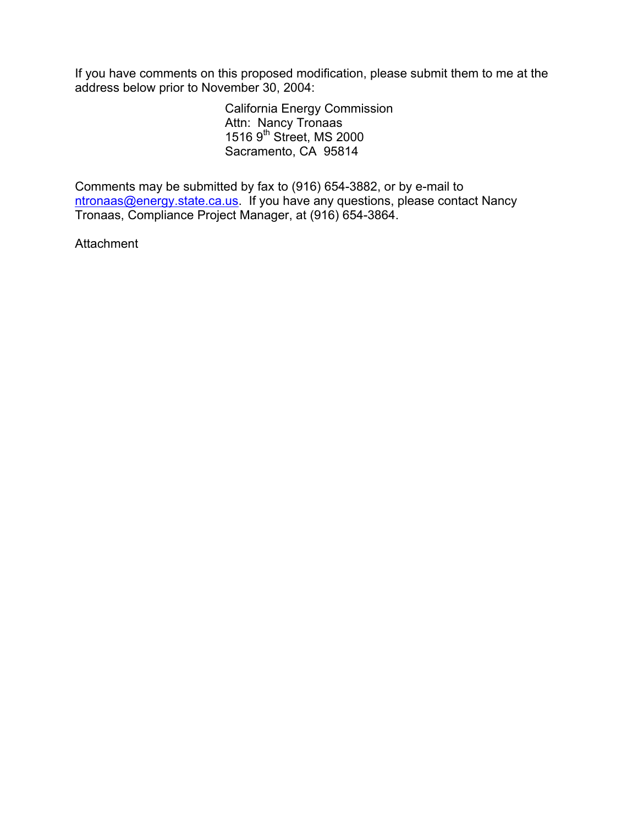If you have comments on this proposed modification, please submit them to me at the address below prior to November 30, 2004:

 California Energy Commission Attn: Nancy Tronaas  $15169<sup>th</sup>$  Street, MS 2000 Sacramento, CA 95814

Comments may be submitted by fax to (916) 654-3882, or by e-mail to [ntronaas@energy.state.ca.us.](mailto:ntronaas@energy.state.ca.us) If you have any questions, please contact Nancy Tronaas, Compliance Project Manager, at (916) 654-3864.

**Attachment**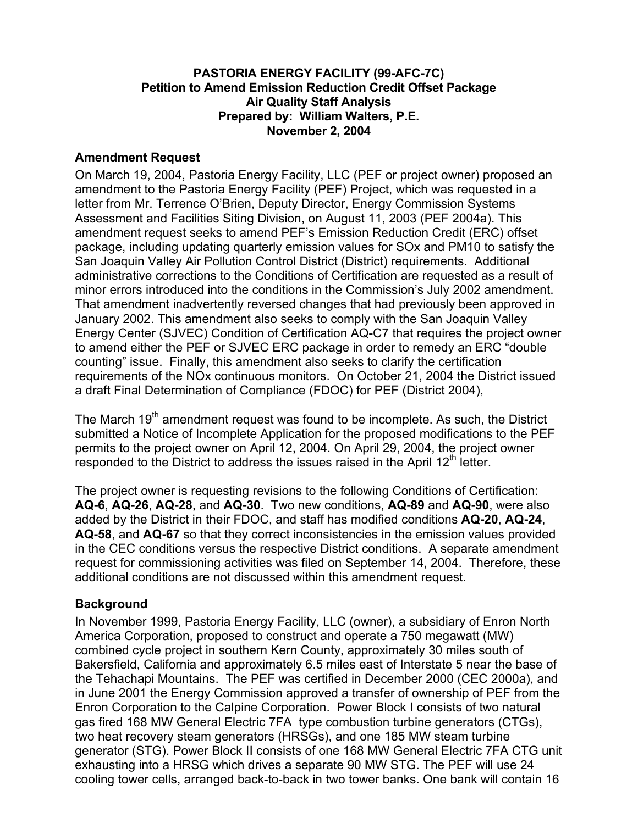#### **PASTORIA ENERGY FACILITY (99-AFC-7C) Petition to Amend Emission Reduction Credit Offset Package Air Quality Staff Analysis Prepared by: William Walters, P.E. November 2, 2004**

#### **Amendment Request**

On March 19, 2004, Pastoria Energy Facility, LLC (PEF or project owner) proposed an amendment to the Pastoria Energy Facility (PEF) Project, which was requested in a letter from Mr. Terrence O'Brien, Deputy Director, Energy Commission Systems Assessment and Facilities Siting Division, on August 11, 2003 (PEF 2004a). This amendment request seeks to amend PEF's Emission Reduction Credit (ERC) offset package, including updating quarterly emission values for SOx and PM10 to satisfy the San Joaquin Valley Air Pollution Control District (District) requirements. Additional administrative corrections to the Conditions of Certification are requested as a result of minor errors introduced into the conditions in the Commission's July 2002 amendment. That amendment inadvertently reversed changes that had previously been approved in January 2002. This amendment also seeks to comply with the San Joaquin Valley Energy Center (SJVEC) Condition of Certification AQ-C7 that requires the project owner to amend either the PEF or SJVEC ERC package in order to remedy an ERC "double counting" issue. Finally, this amendment also seeks to clarify the certification requirements of the NOx continuous monitors. On October 21, 2004 the District issued a draft Final Determination of Compliance (FDOC) for PEF (District 2004),

The March 19<sup>th</sup> amendment request was found to be incomplete. As such, the District submitted a Notice of Incomplete Application for the proposed modifications to the PEF permits to the project owner on April 12, 2004. On April 29, 2004, the project owner responded to the District to address the issues raised in the April  $12<sup>th</sup>$  letter.

The project owner is requesting revisions to the following Conditions of Certification: **AQ-6**, **AQ-26**, **AQ-28**, and **AQ-30**. Two new conditions, **AQ-89** and **AQ-90**, were also added by the District in their FDOC, and staff has modified conditions **AQ-20**, **AQ-24**, **AQ-58**, and **AQ-67** so that they correct inconsistencies in the emission values provided in the CEC conditions versus the respective District conditions. A separate amendment request for commissioning activities was filed on September 14, 2004. Therefore, these additional conditions are not discussed within this amendment request.

#### **Background**

In November 1999, Pastoria Energy Facility, LLC (owner), a subsidiary of Enron North America Corporation, proposed to construct and operate a 750 megawatt (MW) combined cycle project in southern Kern County, approximately 30 miles south of Bakersfield, California and approximately 6.5 miles east of Interstate 5 near the base of the Tehachapi Mountains. The PEF was certified in December 2000 (CEC 2000a), and in June 2001 the Energy Commission approved a transfer of ownership of PEF from the Enron Corporation to the Calpine Corporation. Power Block I consists of two natural gas fired 168 MW General Electric 7FA type combustion turbine generators (CTGs), two heat recovery steam generators (HRSGs), and one 185 MW steam turbine generator (STG). Power Block II consists of one 168 MW General Electric 7FA CTG unit exhausting into a HRSG which drives a separate 90 MW STG. The PEF will use 24 cooling tower cells, arranged back-to-back in two tower banks. One bank will contain 16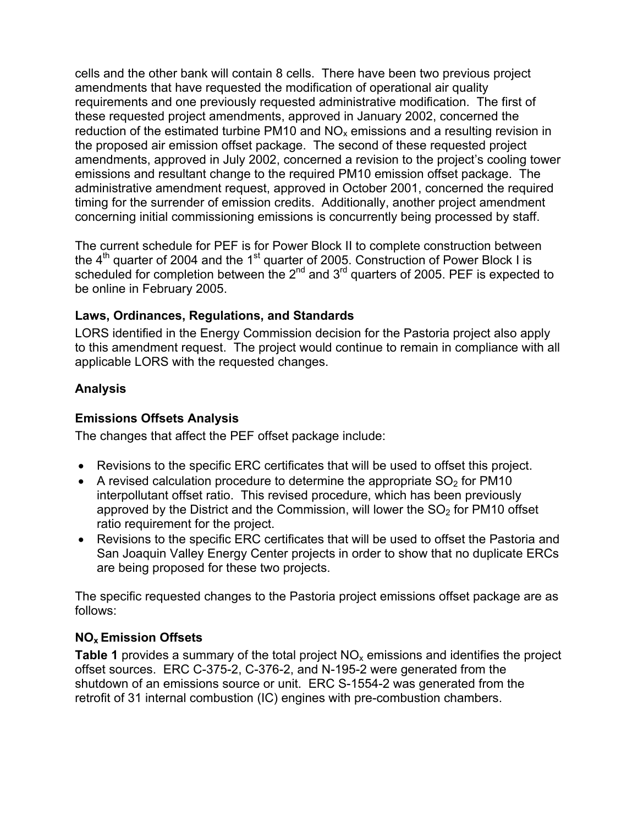cells and the other bank will contain 8 cells. There have been two previous project amendments that have requested the modification of operational air quality requirements and one previously requested administrative modification. The first of these requested project amendments, approved in January 2002, concerned the reduction of the estimated turbine PM10 and  $NO<sub>x</sub>$  emissions and a resulting revision in the proposed air emission offset package. The second of these requested project amendments, approved in July 2002, concerned a revision to the project's cooling tower emissions and resultant change to the required PM10 emission offset package. The administrative amendment request, approved in October 2001, concerned the required timing for the surrender of emission credits. Additionally, another project amendment concerning initial commissioning emissions is concurrently being processed by staff.

The current schedule for PEF is for Power Block II to complete construction between the  $4<sup>th</sup>$  quarter of 2004 and the 1<sup>st</sup> quarter of 2005. Construction of Power Block I is scheduled for completion between the 2<sup>nd</sup> and 3<sup>rd</sup> quarters of 2005. PEF is expected to be online in February 2005.

# **Laws, Ordinances, Regulations, and Standards**

LORS identified in the Energy Commission decision for the Pastoria project also apply to this amendment request. The project would continue to remain in compliance with all applicable LORS with the requested changes.

# **Analysis**

#### **Emissions Offsets Analysis**

The changes that affect the PEF offset package include:

- Revisions to the specific ERC certificates that will be used to offset this project.
- A revised calculation procedure to determine the appropriate  $SO<sub>2</sub>$  for PM10 interpollutant offset ratio. This revised procedure, which has been previously approved by the District and the Commission, will lower the  $SO<sub>2</sub>$  for PM10 offset ratio requirement for the project.
- Revisions to the specific ERC certificates that will be used to offset the Pastoria and San Joaquin Valley Energy Center projects in order to show that no duplicate ERCs are being proposed for these two projects.

The specific requested changes to the Pastoria project emissions offset package are as follows:

# **NOx Emission Offsets**

**Table 1** provides a summary of the total project  $NO<sub>x</sub>$  emissions and identifies the project offset sources. ERC C-375-2, C-376-2, and N-195-2 were generated from the shutdown of an emissions source or unit. ERC S-1554-2 was generated from the retrofit of 31 internal combustion (IC) engines with pre-combustion chambers.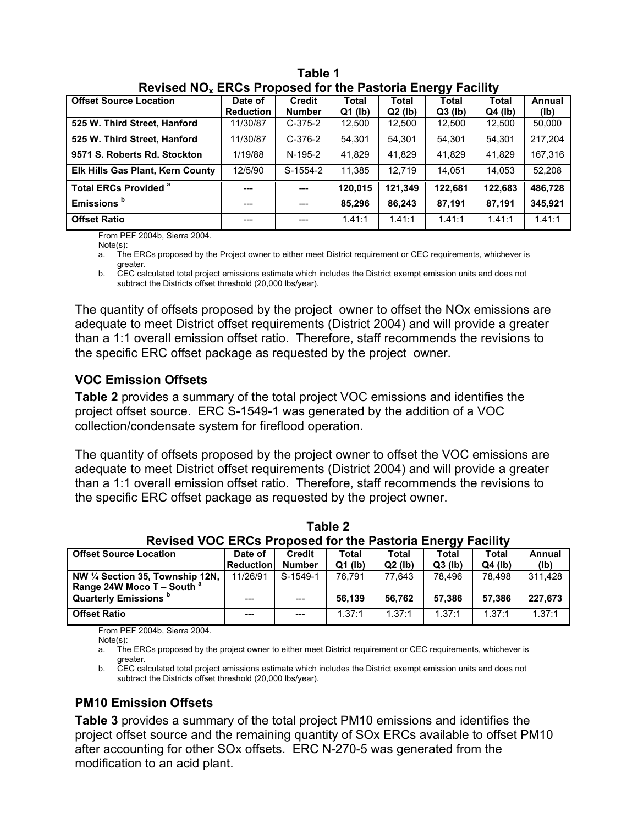| $\overline{1}$ is a finite that is a function of the $\overline{1}$ and $\overline{1}$ and $\overline{1}$ and $\overline{1}$ and $\overline{1}$ |                             |                                |                           |                    |                    |                           |                |  |
|-------------------------------------------------------------------------------------------------------------------------------------------------|-----------------------------|--------------------------------|---------------------------|--------------------|--------------------|---------------------------|----------------|--|
| <b>Offset Source Location</b>                                                                                                                   | Date of<br><b>Reduction</b> | <b>Credit</b><br><b>Number</b> | <b>Total</b><br>$Q1$ (lb) | Total<br>$Q2$ (lb) | Total<br>$Q3$ (lb) | <b>Total</b><br>$Q4$ (lb) | Annual<br>(lb) |  |
| 525 W. Third Street, Hanford                                                                                                                    | 11/30/87                    | $C-375-2$                      | 12,500                    | 12,500             | 12,500             | 12,500                    | 50,000         |  |
| 525 W. Third Street, Hanford                                                                                                                    | 11/30/87                    | $C-376-2$                      | 54.301                    | 54,301             | 54,301             | 54.301                    | 217.204        |  |
| 9571 S. Roberts Rd. Stockton                                                                                                                    | 1/19/88                     | N-195-2                        | 41.829                    | 41.829             | 41.829             | 41.829                    | 167,316        |  |
| Elk Hills Gas Plant, Kern County                                                                                                                | 12/5/90                     | S-1554-2                       | 11.385                    | 12.719             | 14.051             | 14.053                    | 52,208         |  |
| <b>Total ERCs Provided <sup>a</sup></b>                                                                                                         | $---$                       | ---                            | 120.015                   | 121,349            | 122.681            | 122.683                   | 486.728        |  |
| Emissions <sup>b</sup>                                                                                                                          | ---                         | $---$                          | 85,296                    | 86,243             | 87.191             | 87.191                    | 345.921        |  |
| <b>Offset Ratio</b>                                                                                                                             | $---$                       | ---                            | 1.41:1                    | 1.41:1             | 1.41:1             | 1.41:1                    | 1.41:1         |  |

**Table 1 Revised NOx ERCs Proposed for the Pastoria Energy Facility** 

From PEF 2004b, Sierra 2004.

Note(s):

a. The ERCs proposed by the Project owner to either meet District requirement or CEC requirements, whichever is greater.

b. CEC calculated total project emissions estimate which includes the District exempt emission units and does not subtract the Districts offset threshold (20,000 lbs/year).

The quantity of offsets proposed by the project owner to offset the NOx emissions are adequate to meet District offset requirements (District 2004) and will provide a greater than a 1:1 overall emission offset ratio. Therefore, staff recommends the revisions to the specific ERC offset package as requested by the project owner.

# **VOC Emission Offsets**

**Table 2** provides a summary of the total project VOC emissions and identifies the project offset source. ERC S-1549-1 was generated by the addition of a VOC collection/condensate system for fireflood operation.

The quantity of offsets proposed by the project owner to offset the VOC emissions are adequate to meet District offset requirements (District 2004) and will provide a greater than a 1:1 overall emission offset ratio. Therefore, staff recommends the revisions to the specific ERC offset package as requested by the project owner.

| Table 2                                                           |           |               |           |           |              |           |         |  |
|-------------------------------------------------------------------|-----------|---------------|-----------|-----------|--------------|-----------|---------|--|
| <b>Revised VOC ERCs Proposed for the Pastoria Energy Facility</b> |           |               |           |           |              |           |         |  |
| <b>Offset Source Location</b>                                     | Date of   | <b>Credit</b> | Total     | Total     | <b>Total</b> | Total     | Annual  |  |
|                                                                   | Reduction | <b>Number</b> | $Q1$ (lb) | $Q2$ (lb) | $Q3$ (lb)    | $Q4$ (lb) | (lb)    |  |
| NW 1/4 Section 35, Township 12N,                                  | 11/26/91  | S-1549-1      | 76.791    | 77.643    | 78.496       | 78.498    | 311.428 |  |
| Range 24W Moco T - South <sup>a</sup>                             |           |               |           |           |              |           |         |  |
| Quarterly Emissions <sup>b</sup>                                  |           |               | 56.139    | 56.762    | 57.386       | 57.386    | 227.673 |  |
| <b>Offset Ratio</b>                                               | ---       | $---$         | 1.37:1    | 1.37:1    | 1.37:1       | 1.37:1    | 1.37:1  |  |

From PEF 2004b, Sierra 2004.

Note(s):

a. The ERCs proposed by the project owner to either meet District requirement or CEC requirements, whichever is greater.

b. CEC calculated total project emissions estimate which includes the District exempt emission units and does not subtract the Districts offset threshold (20,000 lbs/year).

# **PM10 Emission Offsets**

**Table 3** provides a summary of the total project PM10 emissions and identifies the project offset source and the remaining quantity of SOx ERCs available to offset PM10 after accounting for other SOx offsets. ERC N-270-5 was generated from the modification to an acid plant.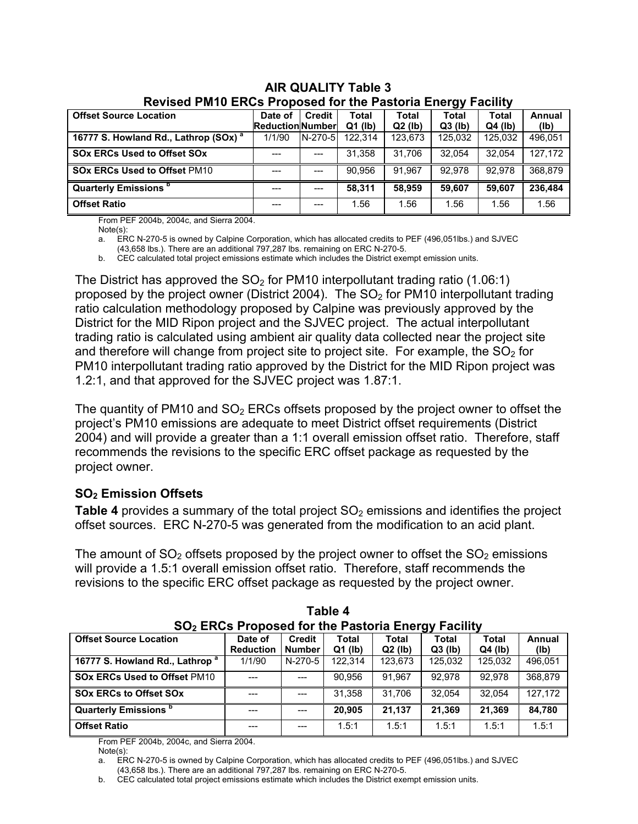| <u>INGYISGU FINITU LINOS FIUDOSGU IUI LIIG FASLUITA LIIGIYY</u><br>aumu |                        |           |              |              |              |              |         |  |
|-------------------------------------------------------------------------|------------------------|-----------|--------------|--------------|--------------|--------------|---------|--|
| <b>Offset Source Location</b>                                           | Date of                | Credit    | <b>Total</b> | <b>Total</b> | <b>Total</b> | <b>Total</b> | Annual  |  |
|                                                                         | <b>ReductionNumber</b> |           | $Q1$ (lb)    | $Q2$ (lb)    | $Q3$ (lb)    | $Q4$ (lb)    | (lb)    |  |
| 16777 S. Howland Rd., Lathrop (SOx) <sup>a</sup>                        | 1/1/90                 | $N-270-5$ | 122.314      | 123.673      | 125.032      | 125.032      | 496.051 |  |
| <b>SOx ERCs Used to Offset SOx</b>                                      |                        | $---$     | 31.358       | 31.706       | 32.054       | 32.054       | 127.172 |  |
| <b>SOx ERCs Used to Offset PM10</b>                                     |                        | $---$     | 90.956       | 91.967       | 92.978       | 92.978       | 368,879 |  |
| Quarterly Emissions <sup>b</sup>                                        | ---                    | ---       | 58.311       | 58.959       | 59.607       | 59.607       | 236,484 |  |
| <b>Offset Ratio</b>                                                     | ---                    |           | 1.56         | 1.56         | 1.56         | 1.56         | 1.56    |  |

#### **AIR QUALITY Table 3 Revised PM10 ERCs Proposed for the Pastoria Energy Facility**

From PEF 2004b, 2004c, and Sierra 2004.

Note(s):<br>a FR

ERC N-270-5 is owned by Calpine Corporation, which has allocated credits to PEF (496,051lbs.) and SJVEC

(43,658 lbs.). There are an additional 797,287 lbs. remaining on ERC N-270-5.

b. CEC calculated total project emissions estimate which includes the District exempt emission units.

The District has approved the  $SO<sub>2</sub>$  for PM10 interpollutant trading ratio (1.06:1) proposed by the project owner (District 2004). The  $SO<sub>2</sub>$  for PM10 interpollutant trading ratio calculation methodology proposed by Calpine was previously approved by the District for the MID Ripon project and the SJVEC project. The actual interpollutant trading ratio is calculated using ambient air quality data collected near the project site and therefore will change from project site to project site. For example, the  $SO<sub>2</sub>$  for PM10 interpollutant trading ratio approved by the District for the MID Ripon project was 1.2:1, and that approved for the SJVEC project was 1.87:1.

The quantity of PM10 and  $SO<sub>2</sub>$  ERCs offsets proposed by the project owner to offset the project's PM10 emissions are adequate to meet District offset requirements (District 2004) and will provide a greater than a 1:1 overall emission offset ratio. Therefore, staff recommends the revisions to the specific ERC offset package as requested by the project owner.

# **SO2 Emission Offsets**

**Table 4** provides a summary of the total project SO<sub>2</sub> emissions and identifies the project offset sources. ERC N-270-5 was generated from the modification to an acid plant.

The amount of  $SO<sub>2</sub>$  offsets proposed by the project owner to offset the  $SO<sub>2</sub>$  emissions will provide a 1.5:1 overall emission offset ratio. Therefore, staff recommends the revisions to the specific ERC offset package as requested by the project owner.

| SO <sub>2</sub> ERCs Proposed for the Pastoria Energy Facility |                             |                                |                    |                           |                           |                           |                |  |
|----------------------------------------------------------------|-----------------------------|--------------------------------|--------------------|---------------------------|---------------------------|---------------------------|----------------|--|
| <b>Offset Source Location</b>                                  | Date of<br><b>Reduction</b> | <b>Credit</b><br><b>Number</b> | Total<br>$Q1$ (lb) | <b>Total</b><br>$Q2$ (lb) | <b>Total</b><br>$Q3$ (lb) | <b>Total</b><br>$Q4$ (lb) | Annual<br>(Ib) |  |
| 16777 S. Howland Rd., Lathrop <sup>a</sup>                     | 1/1/90                      | N-270-5                        | 122.314            | 123.673                   | 125.032                   | 125.032                   | 496.051        |  |
| <b>SOx ERCs Used to Offset PM10</b>                            |                             |                                | 90.956             | 91.967                    | 92.978                    | 92.978                    | 368.879        |  |
| <b>SOx ERCs to Offset SOx</b>                                  |                             |                                | 31.358             | 31.706                    | 32.054                    | 32.054                    | 127,172        |  |
| <b>Quarterly Emissions</b> <sup>b</sup>                        |                             |                                | 20.905             | 21.137                    | 21.369                    | 21.369                    | 84.780         |  |
| <b>Offset Ratio</b>                                            | ---                         |                                | 1.5:1              | 1.5:1                     | 1.5:1                     | 1.5:1                     | 1.5:1          |  |

| Table 4                                                              |  |
|----------------------------------------------------------------------|--|
| <b>SO<sub>2</sub></b> ERCs Proposed for the Pastoria Energy Facility |  |

From PEF 2004b, 2004c, and Sierra 2004.

Note(s):

a. ERC N-270-5 is owned by Calpine Corporation, which has allocated credits to PEF (496,051lbs.) and SJVEC (43,658 lbs.). There are an additional 797,287 lbs. remaining on ERC N-270-5.

b. CEC calculated total project emissions estimate which includes the District exempt emission units.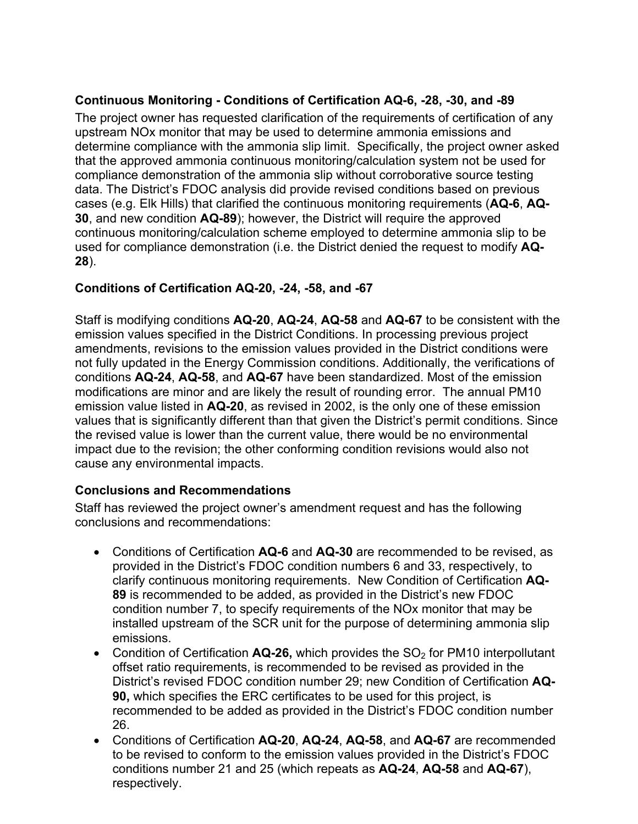# **Continuous Monitoring - Conditions of Certification AQ-6, -28, -30, and -89**

The project owner has requested clarification of the requirements of certification of any upstream NOx monitor that may be used to determine ammonia emissions and determine compliance with the ammonia slip limit. Specifically, the project owner asked that the approved ammonia continuous monitoring/calculation system not be used for compliance demonstration of the ammonia slip without corroborative source testing data. The District's FDOC analysis did provide revised conditions based on previous cases (e.g. Elk Hills) that clarified the continuous monitoring requirements (**AQ-6**, **AQ-30**, and new condition **AQ-89**); however, the District will require the approved continuous monitoring/calculation scheme employed to determine ammonia slip to be used for compliance demonstration (i.e. the District denied the request to modify **AQ-28**).

# **Conditions of Certification AQ-20, -24, -58, and -67**

Staff is modifying conditions **AQ-20**, **AQ-24**, **AQ-58** and **AQ-67** to be consistent with the emission values specified in the District Conditions. In processing previous project amendments, revisions to the emission values provided in the District conditions were not fully updated in the Energy Commission conditions. Additionally, the verifications of conditions **AQ-24**, **AQ-58**, and **AQ-67** have been standardized. Most of the emission modifications are minor and are likely the result of rounding error. The annual PM10 emission value listed in **AQ-20**, as revised in 2002, is the only one of these emission values that is significantly different than that given the District's permit conditions. Since the revised value is lower than the current value, there would be no environmental impact due to the revision; the other conforming condition revisions would also not cause any environmental impacts.

# **Conclusions and Recommendations**

Staff has reviewed the project owner's amendment request and has the following conclusions and recommendations:

- Conditions of Certification **AQ-6** and **AQ-30** are recommended to be revised, as provided in the District's FDOC condition numbers 6 and 33, respectively, to clarify continuous monitoring requirements. New Condition of Certification **AQ-89** is recommended to be added, as provided in the District's new FDOC condition number 7, to specify requirements of the NOx monitor that may be installed upstream of the SCR unit for the purpose of determining ammonia slip emissions.
- Condition of Certification **AQ-26**, which provides the SO<sub>2</sub> for PM10 interpollutant offset ratio requirements, is recommended to be revised as provided in the District's revised FDOC condition number 29; new Condition of Certification **AQ-90,** which specifies the ERC certificates to be used for this project, is recommended to be added as provided in the District's FDOC condition number 26.
- Conditions of Certification **AQ-20**, **AQ-24**, **AQ-58**, and **AQ-67** are recommended to be revised to conform to the emission values provided in the District's FDOC conditions number 21 and 25 (which repeats as **AQ-24**, **AQ-58** and **AQ-67**), respectively.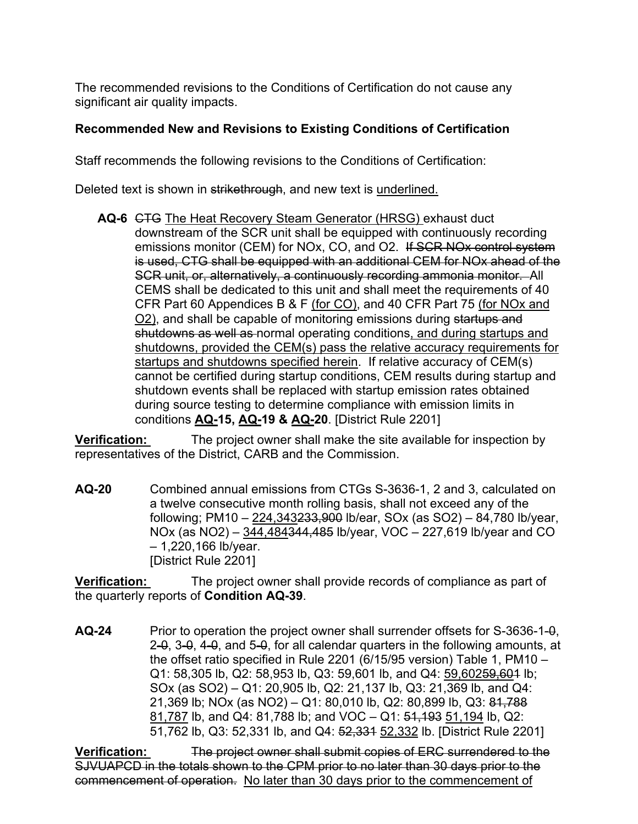The recommended revisions to the Conditions of Certification do not cause any significant air quality impacts.

#### **Recommended New and Revisions to Existing Conditions of Certification**

Staff recommends the following revisions to the Conditions of Certification:

Deleted text is shown in strikethrough, and new text is underlined.

**AQ-6** CTG The Heat Recovery Steam Generator (HRSG) exhaust duct downstream of the SCR unit shall be equipped with continuously recording emissions monitor (CEM) for NOx, CO, and O2. If SCR NOx control system is used, CTG shall be equipped with an additional CEM for NOx ahead of the SCR unit, or, alternatively, a continuously recording ammonia monitor. All CEMS shall be dedicated to this unit and shall meet the requirements of 40 CFR Part 60 Appendices B & F (for CO), and 40 CFR Part 75 (for NOx and O2), and shall be capable of monitoring emissions during startups and shutdowns as well as normal operating conditions, and during startups and shutdowns, provided the CEM(s) pass the relative accuracy requirements for startups and shutdowns specified herein. If relative accuracy of CEM(s) cannot be certified during startup conditions, CEM results during startup and shutdown events shall be replaced with startup emission rates obtained during source testing to determine compliance with emission limits in conditions **AQ-15, AQ-19 & AQ-20**. [District Rule 2201]

**Verification:** The project owner shall make the site available for inspection by representatives of the District, CARB and the Commission.

**AQ-20** Combined annual emissions from CTGs S-3636-1, 2 and 3, calculated on a twelve consecutive month rolling basis, shall not exceed any of the following; PM10 – 224,343233,900 lb/ear, SOx (as SO2) – 84,780 lb/year, NOx (as NO2) – 344,484344,485 lb/year, VOC – 227,619 lb/year and CO – 1,220,166 lb/year. [District Rule 2201]

**Verification:** The project owner shall provide records of compliance as part of the quarterly reports of **Condition AQ-39**.

**AQ-24** Prior to operation the project owner shall surrender offsets for S-3636-1-0, 2-0, 3-0, 4-0, and 5-0, for all calendar quarters in the following amounts, at the offset ratio specified in Rule 2201 (6/15/95 version) Table 1, PM10 – Q1: 58,305 lb, Q2: 58,953 lb, Q3: 59,601 lb, and Q4: 59,60259,601 lb; SOx (as SO2) – Q1: 20,905 lb, Q2: 21,137 lb, Q3: 21,369 lb, and Q4: 21,369 lb; NOx (as NO2) – Q1: 80,010 lb, Q2: 80,899 lb, Q3: 81,788 81,787 lb, and Q4: 81,788 lb; and VOC – Q1: 51,193 51,194 lb, Q2: 51,762 lb, Q3: 52,331 lb, and Q4: 52,331 52,332 lb. [District Rule 2201]

**Verification:** The project owner shall submit copies of ERC surrendered to the SJVUAPCD in the totals shown to the CPM prior to no later than 30 days prior to the commencement of operation. No later than 30 days prior to the commencement of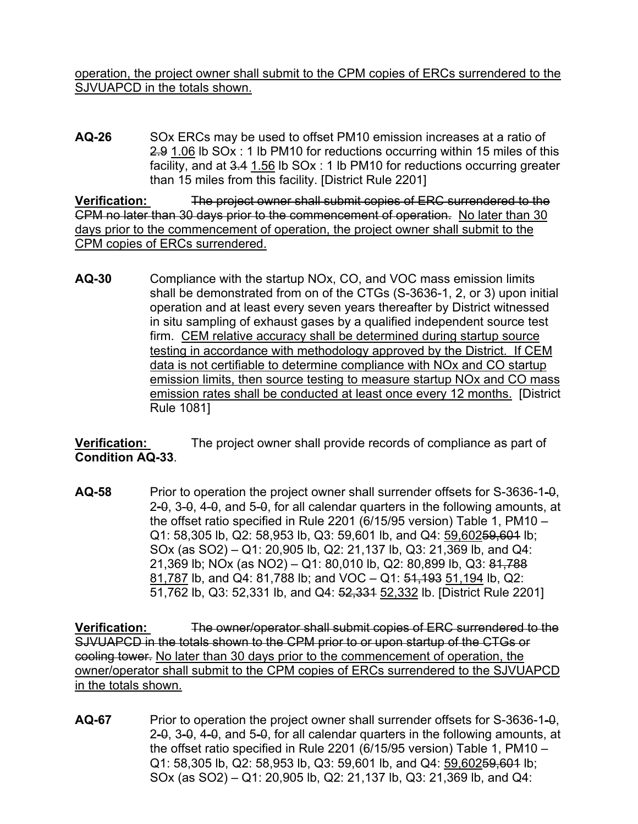operation, the project owner shall submit to the CPM copies of ERCs surrendered to the SJVUAPCD in the totals shown.

**AQ-26** SOx ERCs may be used to offset PM10 emission increases at a ratio of 2.9 1.06 lb SOx : 1 lb PM10 for reductions occurring within 15 miles of this facility, and at 3.4 1.56 lb SOx : 1 lb PM10 for reductions occurring greater than 15 miles from this facility. [District Rule 2201]

**Verification:** The project owner shall submit copies of ERC surrendered to the CPM no later than 30 days prior to the commencement of operation. No later than 30 days prior to the commencement of operation, the project owner shall submit to the CPM copies of ERCs surrendered.

**AQ-30** Compliance with the startup NOx, CO, and VOC mass emission limits shall be demonstrated from on of the CTGs (S-3636-1, 2, or 3) upon initial operation and at least every seven years thereafter by District witnessed in situ sampling of exhaust gases by a qualified independent source test firm. CEM relative accuracy shall be determined during startup source testing in accordance with methodology approved by the District. If CEM data is not certifiable to determine compliance with NOx and CO startup emission limits, then source testing to measure startup NOx and CO mass emission rates shall be conducted at least once every 12 months. [District Rule 1081]

**Verification:** The project owner shall provide records of compliance as part of **Condition AQ-33**.

**AQ-58** Prior to operation the project owner shall surrender offsets for S-3636-1-0, 2-0, 3-0, 4-0, and 5-0, for all calendar quarters in the following amounts, at the offset ratio specified in Rule 2201 (6/15/95 version) Table 1, PM10 – Q1: 58,305 lb, Q2: 58,953 lb, Q3: 59,601 lb, and Q4: 59,60259,601 lb; SOx (as SO2) – Q1: 20,905 lb, Q2: 21,137 lb, Q3: 21,369 lb, and Q4: 21,369 lb; NOx (as NO2) – Q1: 80,010 lb, Q2: 80,899 lb, Q3: 81,788 81,787 lb, and Q4: 81,788 lb; and VOC – Q1: 51,193 51,194 lb, Q2: 51,762 lb, Q3: 52,331 lb, and Q4: 52,331 52,332 lb. [District Rule 2201]

**Verification:** The owner/operator shall submit copies of ERC surrendered to the SJVUAPCD in the totals shown to the CPM prior to or upon startup of the CTGs or cooling tower. No later than 30 days prior to the commencement of operation, the owner/operator shall submit to the CPM copies of ERCs surrendered to the SJVUAPCD in the totals shown.

**AQ-67** Prior to operation the project owner shall surrender offsets for S-3636-1-0, 2-0, 3-0, 4-0, and 5-0, for all calendar quarters in the following amounts, at the offset ratio specified in Rule 2201 (6/15/95 version) Table 1, PM10 – Q1: 58,305 lb, Q2: 58,953 lb, Q3: 59,601 lb, and Q4: 59,60259,601 lb; SOx (as SO2) – Q1: 20,905 lb, Q2: 21,137 lb, Q3: 21,369 lb, and Q4: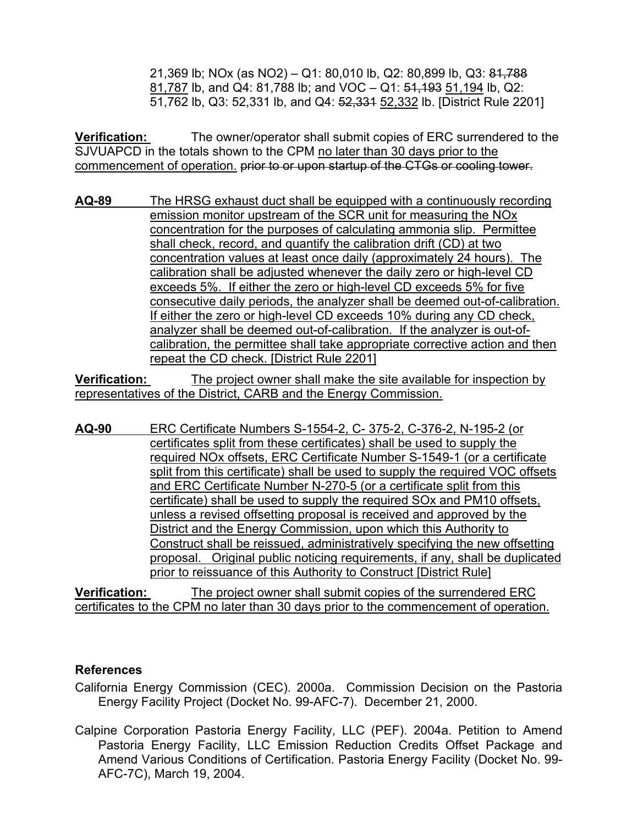21,369 lb; NOx (as NO2) – Q1: 80,010 lb, Q2: 80,899 lb, Q3: 81,788 81,787 lb, and Q4: 81,788 lb; and VOC – Q1: 51,193 51,194 lb, Q2: 51,762 lb, Q3: 52,331 lb, and Q4: 52,331 52,332 lb. [District Rule 2201]

**Verification:** The owner/operator shall submit copies of ERC surrendered to the SJVUAPCD in the totals shown to the CPM no later than 30 days prior to the commencement of operation. prior to or upon startup of the CTGs or cooling tower.

**AQ-89** The HRSG exhaust duct shall be equipped with a continuously recording emission monitor upstream of the SCR unit for measuring the NOx concentration for the purposes of calculating ammonia slip. Permittee shall check, record, and quantify the calibration drift (CD) at two concentration values at least once daily (approximately 24 hours). The calibration shall be adjusted whenever the daily zero or high-level CD exceeds 5%. If either the zero or high-level CD exceeds 5% for five consecutive daily periods, the analyzer shall be deemed out-of-calibration. If either the zero or high-level CD exceeds 10% during any CD check, analyzer shall be deemed out-of-calibration. If the analyzer is out-ofcalibration, the permittee shall take appropriate corrective action and then repeat the CD check. [District Rule 2201]

**Verification:** The project owner shall make the site available for inspection by representatives of the District, CARB and the Energy Commission.

**AQ-90** ERC Certificate Numbers S-1554-2, C- 375-2, C-376-2, N-195-2 (or certificates split from these certificates) shall be used to supply the required NOx offsets, ERC Certificate Number S-1549-1 (or a certificate split from this certificate) shall be used to supply the required VOC offsets and ERC Certificate Number N-270-5 (or a certificate split from this certificate) shall be used to supply the required SOx and PM10 offsets, unless a revised offsetting proposal is received and approved by the District and the Energy Commission, upon which this Authority to Construct shall be reissued, administratively specifying the new offsetting proposal. Original public noticing requirements, if any, shall be duplicated prior to reissuance of this Authority to Construct [District Rule]

**Verification:** The project owner shall submit copies of the surrendered ERC certificates to the CPM no later than 30 days prior to the commencement of operation.

#### **References**

California Energy Commission (CEC). 2000a. Commission Decision on the Pastoria Energy Facility Project (Docket No. 99-AFC-7). December 21, 2000.

Calpine Corporation Pastoria Energy Facility, LLC (PEF). 2004a. Petition to Amend Pastoria Energy Facility, LLC Emission Reduction Credits Offset Package and Amend Various Conditions of Certification. Pastoria Energy Facility (Docket No. 99- AFC-7C), March 19, 2004.